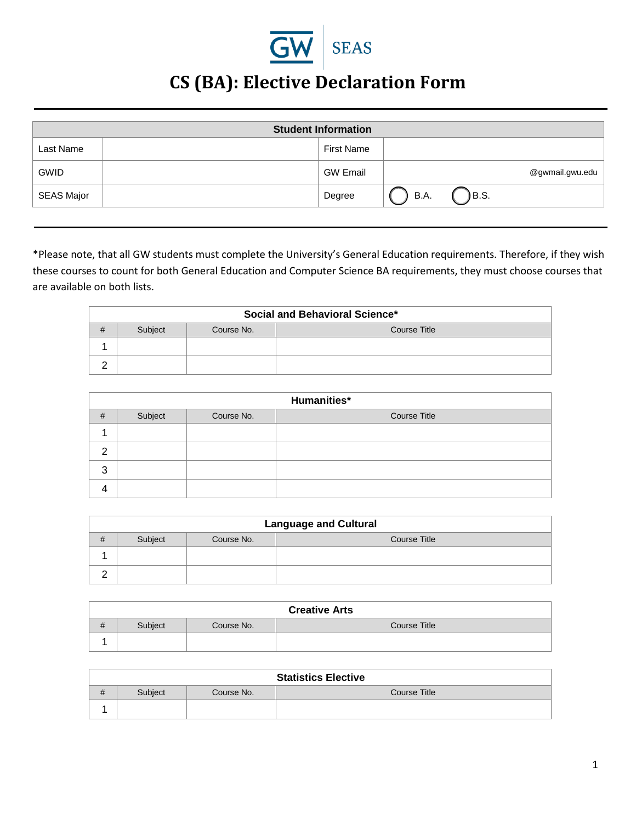

## **CS (BA): Elective Declaration Form**

| <b>Student Information</b> |  |                 |                 |
|----------------------------|--|-----------------|-----------------|
| Last Name                  |  | First Name      |                 |
| <b>GWID</b>                |  | <b>GW Email</b> | @gwmail.gwu.edu |
| SEAS Major                 |  | Degree          | )B.S.<br>B.A.   |

\*Please note, that all GW students must complete the University's General Education requirements. Therefore, if they wish these courses to count for both General Education and Computer Science BA requirements, they must choose courses that are available on both lists.

| <b>Social and Behavioral Science*</b> |         |            |              |
|---------------------------------------|---------|------------|--------------|
| #                                     | Subject | Course No. | Course Title |
|                                       |         |            |              |
| ◠                                     |         |            |              |

|   | Humanities* |            |                     |  |  |
|---|-------------|------------|---------------------|--|--|
| # | Subject     | Course No. | <b>Course Title</b> |  |  |
|   |             |            |                     |  |  |
| o |             |            |                     |  |  |
| 3 |             |            |                     |  |  |
|   |             |            |                     |  |  |

|   | <b>Language and Cultural</b> |            |                     |  |
|---|------------------------------|------------|---------------------|--|
| # | Subject                      | Course No. | <b>Course Title</b> |  |
|   |                              |            |                     |  |
|   |                              |            |                     |  |

| <b>Creative Arts</b> |                                       |  |  |  |
|----------------------|---------------------------------------|--|--|--|
| #                    | Course No.<br>Course Title<br>Subject |  |  |  |
|                      |                                       |  |  |  |

|    | <b>Statistics Elective</b> |            |              |  |  |
|----|----------------------------|------------|--------------|--|--|
| 77 | Subject                    | Course No. | Course Title |  |  |
|    |                            |            |              |  |  |